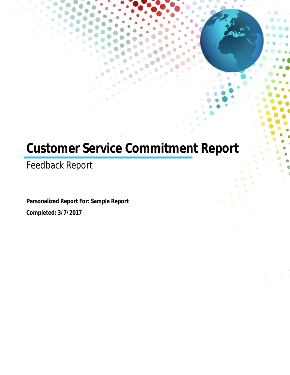# **Customer Service Commitment Report**

Feedback Report

**Personalized Report For: Sample Report Completed: 3/7/2017**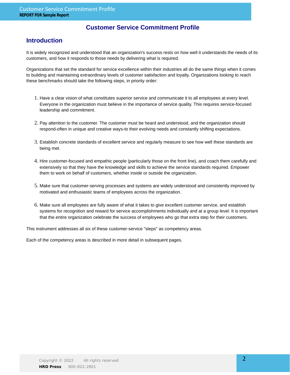### **Customer Service Commitment Profile**

### **Introduction**

It is widely recognized and understood that an organization's success rests on how well it understands the needs of its customers, and how it responds to those needs by delivering what is required.

Organizations that set the standard for service excellence within their industries all do the same things when it comes to building and maintaining extraordinary levels of customer satisfaction and loyalty. Organizations looking to reach these benchmarks should take the following steps, in priority order:

- 1. Have a clear vision of what constitutes superior service and communicate it to all employees at every level. Everyone in the organization must believe in the importance of service quality. This requires service-focused leadership and commitment.
- 2. Pay attention to the customer. The customer must be heard and understood, and the organization should respond-often in unique and creative ways-to their evolving needs and constantly shifting expectations.
- Establish concrete standards of excellent service and regularly measure to see how well these standards are 3. being met.
- 4. Hire customer-focused and empathic people (particularly those on the front line), and coach them carefully and extensively so that they have the knowledge and skills to achieve the service standards required. Empower them to work on behalf of customers, whether inside or outside the organization.
- 5. Make sure that customer-serving processes and systems are widely understood and consistently improved by motivated and enthusiastic teams of employees across the organization.
- 6. Make sure all employees are fully aware of what it takes to give excellent customer service, and establish systems for recognition and reward for service accomplishments individually and at a group level. It is important that the entire organization celebrate the success of employees who go that extra step for their customers.

This instrument addresses all six of these customer-service "steps" as competency areas.

Each of the competency areas is described in more detail in subsequent pages.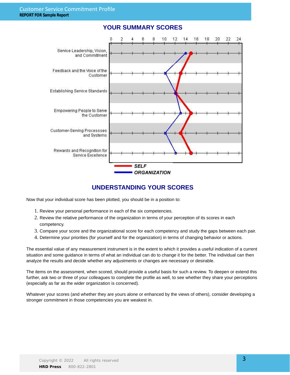

### **YOUR SUMMARY SCORES**

### **UNDERSTANDING YOUR SCORES**

Now that your individual score has been plotted, you should be in a position to:

- 1. Review your personal performance in each of the six competencies.
- 2. Review the relative performance of the organization in terms of your perception of its scores in each competency.
- 3. Compare your score and the organizational score for each competency and study the gaps between each pair.
- 4. Determine your priorities (for yourself and for the organization) in terms of changing behavior or actions.

The essential value of any measurement instrument is in the extent to which it provides a useful indication of a current situation and some guidance in terms of what an individual can do to change it for the better. The individual can then analyze the results and decide whether any adjustments or changes are necessary or desirable.

The items on the assessment, when scored, should provide a useful basis for such a review. To deepen or extend this further, ask two or three of your colleagues to complete the profile as well, to see whether they share your perceptions (especially as far as the wider organization is concerned).

Whatever your scores (and whether they are yours alone or enhanced by the views of others), consider developing a stronger commitment in those competencies you are weakest in.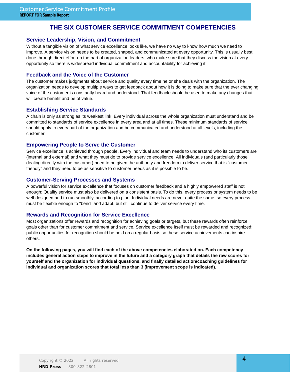### **THE SIX CUSTOMER SERVICE COMMITMENT COMPETENCIES**

#### **Service Leadership, Vision, and Commitment**

Without a tangible vision of what service excellence looks like, we have no way to know how much we need to improve. A service vision needs to be created, shaped, and communicated at every opportunity. This is usually best done through direct effort on the part of organization leaders, who make sure that they discuss the vision at every opportunity so there is widespread individual commitment and accountability for achieving it.

#### **Feedback and the Voice of the Customer**

The customer makes judgments about service and quality every time he or she deals with the organization. The organization needs to develop multiple ways to get feedback about how it is doing to make sure that the ever changing voice of the customer is constantly heard and understood. That feedback should be used to make any changes that will create benefit and be of value.

#### **Establishing Service Standards**

A chain is only as strong as its weakest link. Every individual across the whole organization must understand and be committed to standards of service excellence in every area and at all times. These minimum standards of service should apply to every part of the organization and be communicated and understood at all levels, including the customer.

#### **Empowering People to Serve the Customer**

Service excellence is achieved through people. Every individual and team needs to understand who its customers are (internal and external) and what they must do to provide service excellence. All individuals (and particularly those dealing directly with the customer) need to be given the authority and freedom to deliver service that is "customerfriendly" and they need to be as sensitive to customer needs as it is possible to be.

#### **Customer-Serving Processes and Systems**

A powerful vision for service excellence that focuses on customer feedback and a highly empowered staff is not enough: Quality service must also be delivered on a consistent basis. To do this, every process or system needs to be well-designed and to run smoothly, according to plan. Individual needs are never quite the same, so every process must be flexible enough to "bend" and adapt, but still continue to deliver service every time.

#### **Rewards and Recognition for Service Excellence**

Most organizations offer rewards and recognition for achieving goals or targets, but these rewards often reinforce goals other than for customer commitment and service. Service excellence itself must be rewarded and recognized; public opportunities for recognition should be held on a regular basis so these service achievements can inspire others.

**On the following pages, you will find each of the above competencies elaborated on. Each competency includes general action steps to improve in the future and a category graph that details the raw scores for yourself and the organization for individual questions, and finally detailed action/coaching guidelines for individual and organization scores that total less than 3 (improvement scope is indicated).**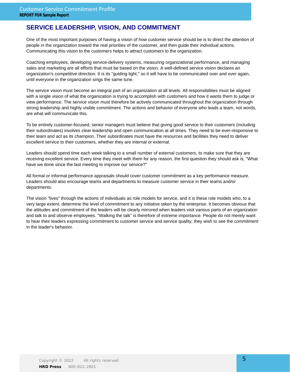### **SERVICE LEADERSHIP, VISION, AND COMMITMENT**

One of the most important purposes of having a vision of how customer service should be is to direct the attention of people in the organization toward the real priorities of the customer, and then guide their individual actions. Communicating this vision to the customers helps to attract customers to the organization.

Coaching employees, developing service-delivery systems, measuring organizational performance, and managing sales and marketing are all efforts that must be based on the vision. A well-defined service vision declares an organization's competitive direction. It is its "guiding light," so it will have to be communicated over and over again, until everyone in the organization sings the same tune.

The service vision must become an integral part of an organization at all levels. All responsibilities must be aligned with a single vision of what the organization is trying to accomplish with customers and how it wants them to judge or view performance. The service vision must therefore be actively communicated throughout the organization through strong leadership and highly visible commitment. The actions and behavior of everyone who leads a team, not words, are what will communicate this.

To be entirely customer-focused, senior managers must believe that giving good service to their customers (including their subordinates) involves clear leadership and open communication at all times. They need to be ever-responsive to their team and act as its champion. Their subordinates must have the resources and facilities they need to deliver excellent service to their customers, whether they are internal or external.

Leaders should spend time each week talking to a small number of external customers, to make sure that they are receiving excellent service. Every time they meet with them for any reason, the first question they should ask is, "What have we done since the last meeting to improve our service?"

All formal or informal performance appraisals should cover customer commitment as a key performance measure. Leaders should also encourage teams and departments to measure customer service in their teams and/or departments.

The vision "lives" through the actions of individuals as role models for service, and it is these role models who, to a very large extent, determine the level of commitment to any initiative taken by the enterprise. It becomes obvious that the attitudes and commitment of the leaders will be clearly mirrored when leaders visit various parts of an organization and talk to and observe employees. "Walking the talk" is therefore of extreme importance. People do not merely want to hear their leaders expressing commitment to customer service and service quality; they wish to see the commitment in the leader's behavior.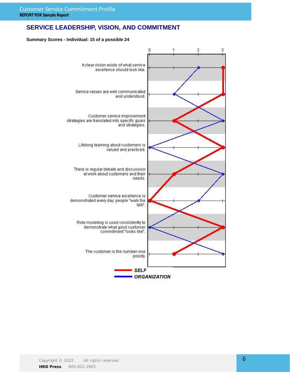### **SERVICE LEADERSHIP, VISION, AND COMMITMENT**

#### **Summary Scores - Individual: 15 of a possible 24**

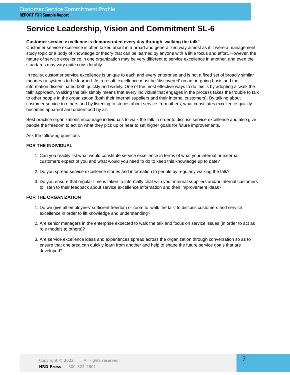# **Service Leadership, Vision and Commitment SL-6**

#### **Customer service excellence is demonstrated every day through 'walking the talk"**

Customer service excellence is often talked about in a broad and generalized way almost as if it were a management study topic or a body of knowledge or theory that can be learned by anyone with a little focus and effort. However, the nature of service excellence in one organization may be very different to service excellence in another, and even the standards may vary quite considerably.

In reality, customer service excellence is unique to each and every enterprise and is not a fixed set of broadly similar theories or systems to be learned. As a result, excellence must be 'discovered' on an on-going basis and the information disseminated both quickly and widely. One of the most effective ways to do this is by adopting a 'walk the talk' approach. Walking the talk simply means that every individual that engages in the process takes the trouble to talk to other people in the organization (both their internal suppliers and their internal customers). By talking about customer service to others and by listening to stories about service from others, what constitutes excellence quickly becomes apparent and understood by all.

Best practice organizations encourage individuals to walk the talk in order to discuss service excellence and also give people the freedom to act on what they pick up or hear to set higher goals for future improvements.

Ask the following questions

#### **FOR THE INDIVIDUAL**

- 1. Can you readily list what would constitute service excellence in terms of what your internal or external customers expect of you and what would you need to do to keep this knowledge up to date?
- 2. Do you spread service excellence stories and information to people by regularly walking the talk?
- 3. Do you ensure that regular time is taken to informally chat with your internal suppliers and/or internal customers to listen to their feedback about service excellence information and their improvement ideas?

- 1. Do we give all employees' sufficient freedom or room to 'walk the talk' to discuss customers and service excellence in order to lift knowledge and understanding?
- 2. Are senior managers in the enterprise expected to walk the talk and focus on service issues (in order to act as role models to others)?
- Are service excellence ideas and experiences spread across the organization through conversation so as to 3. ensure that one area can quickly learn from another and help to shape the future service goals that are developed?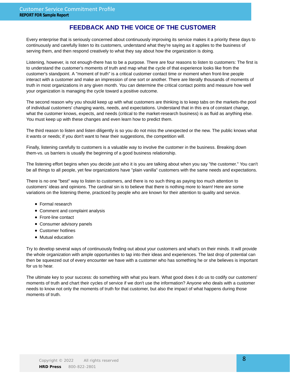### **FEEDBACK AND THE VOICE OF THE CUSTOMER**

Every enterprise that is seriously concerned about continuously improving its service makes it a priority these days to continuously and carefully listen to its customers, understand what they're saying as it applies to the business of serving them, and then respond creatively to what they say about how the organization is doing.

Listening, however, is not enough-there has to be a purpose. There are four reasons to listen to customers: The first is to understand the customer's moments of truth and map what the cycle of that experience looks like from the customer's standpoint. A "moment of truth" is a critical customer contact time or moment when front-line people interact with a customer and make an impression of one sort or another. There are literally thousands of moments of truth in most organizations in any given month. You can determine the critical contact points and measure how well your organization is managing the cycle toward a positive outcome.

The second reason why you should keep up with what customers are thinking is to keep tabs on the markets-the pool of individual customers' changing wants, needs, and expectations. Understand that in this era of constant change, what the customer knows, expects, and needs (critical to the market-research business) is as fluid as anything else. You must keep up with these changes and even learn how to predict them.

The third reason to listen and listen diligently is so you do not miss the unexpected or the new. The public knows what it wants or needs; if you don't want to hear their suggestions, the competition will.

Finally, listening carefully to customers is a valuable way to involve the customer in the business. Breaking down them-vs. us barriers is usually the beginning of a good business relationship.

The listening effort begins when you decide just who it is you are talking about when you say "the customer." You can't be all things to all people, yet few organizations have "plain vanilla" customers with the same needs and expectations.

There is no one "best" way to listen to customers, and there is no such thing as paying too much attention to customers' ideas and opinions. The cardinal sin is to believe that there is nothing more to learn! Here are some variations on the listening theme, practiced by people who are known for their attention to quality and service.

- Formal research
- Comment and complaint analysis
- Front-line contact
- Consumer advisory panels
- Customer hotlines
- Mutual education

Try to develop several ways of continuously finding out about your customers and what's on their minds. It will provide the whole organization with ample opportunities to tap into their ideas and experiences. The last drop of potential can then be squeezed out of every encounter we have with a customer who has something he or she believes is important for us to hear.

The ultimate key to your success: do something with what you learn. What good does it do us to codify our customers' moments of truth and chart their cycles of service if we don't use the information? Anyone who deals with a customer needs to know not only the moments of truth for that customer, but also the impact of what happens during those moments of truth.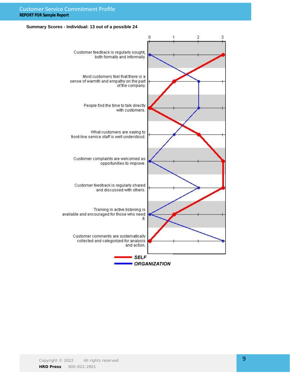#### Customer Service Commitment Profile **REPORT FOR Sample Report**

#### **Summary Scores - Individual: 13 out of a possible 24**

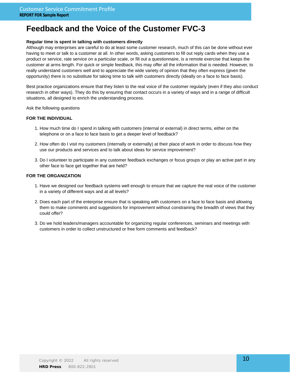# **Feedback and the Voice of the Customer FVC-3**

#### **Regular time is spent in talking with customers directly**

Although may enterprises are careful to do at least some customer research, much of this can be done without ever having to meet or talk to a customer at all. In other words, asking customers to fill out reply cards when they use a product or service, rate service on a particular scale, or fill out a questionnaire, is a remote exercise that keeps the customer at arms length. For quick or simple feedback, this may offer all the information that is needed. However, to really understand customers well and to appreciate the wide variety of opinion that they often express (given the opportunity) there is no substitute for taking time to talk with customers directly (ideally on a face to face basis).

Best practice organizations ensure that they listen to the real voice of the customer regularly (even if they also conduct research in other ways). They do this by ensuring that contact occurs in a variety of ways and in a range of difficult situations, all designed to enrich the understanding process.

Ask the following questions

#### **FOR THE INDIVIDUAL**

- 1. How much time do I spend in talking with customers (internal or external) in direct terms, either on the telephone or on a face to face basis to get a deeper level of feedback?
- 2. How often do I visit my customers (internally or externally) at their place of work in order to discuss how they use our products and services and to talk about ideas for service improvement?
- Do I volunteer to participate in any customer feedback exchanges or focus groups or play an active part in any 3. other face to face get together that are held?

- 1. Have we designed our feedback systems well enough to ensure that we capture the real voice of the customer in a variety of different ways and at all levels?
- 2. Does each part of the enterprise ensure that is speaking with customers on a face to face basis and allowing them to make comments and suggestions for improvement without constraining the breadth of views that they could offer?
- 3. Do we hold leaders/managers accountable for organizing regular conferences, seminars and meetings with customers in order to collect unstructured or free form comments and feedback?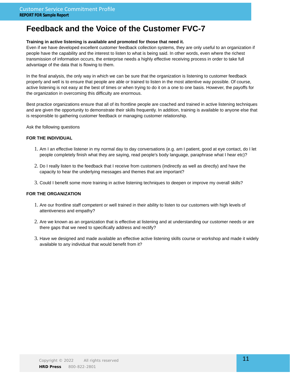# **Feedback and the Voice of the Customer FVC-7**

#### **Training in active listening is available and promoted for those that need it.**

Even if we have developed excellent customer feedback collection systems, they are only useful to an organization if people have the capability and the interest to listen to what is being said. In other words, even where the richest transmission of information occurs, the enterprise needs a highly effective receiving process in order to take full advantage of the data that is flowing to them.

In the final analysis, the only way in which we can be sure that the organization is listening to customer feedback properly and well is to ensure that people are able or trained to listen in the most attentive way possible. Of course, active listening is not easy at the best of times or when trying to do it on a one to one basis. However, the payoffs for the organization in overcoming this difficulty are enormous.

Best practice organizations ensure that all of its frontline people are coached and trained in active listening techniques and are given the opportunity to demonstrate their skills frequently. In addition, training is available to anyone else that is responsible to gathering customer feedback or managing customer relationship.

Ask the following questions

#### **FOR THE INDIVIDUAL**

- 1. Am I an effective listener in my normal day to day conversations (e.g. am I patient, good at eye contact, do I let people completely finish what they are saying, read people's body language, paraphrase what I hear etc)?
- 2. Do I really listen to the feedback that I receive from customers (indirectly as well as directly) and have the capacity to hear the underlying messages and themes that are important?
- 3. Could I benefit some more training in active listening techniques to deepen or improve my overall skills?

- 1. Are our frontline staff competent or well trained in their ability to listen to our customers with high levels of attentiveness and empathy?
- 2. Are we known as an organization that is effective at listening and at understanding our customer needs or are there gaps that we need to specifically address and rectify?
- 3. Have we designed and made available an effective active listening skills course or workshop and made it widely available to any individual that would benefit from it?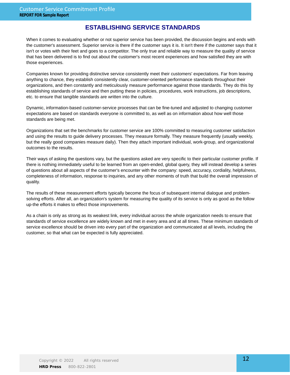### **ESTABLISHING SERVICE STANDARDS**

When it comes to evaluating whether or not superior service has been provided, the discussion begins and ends with the customer's assessment. Superior service is there if the customer says it is. It isn't there if the customer says that it isn't or votes with their feet and goes to a competitor. The only true and reliable way to measure the quality of service that has been delivered is to find out about the customer's most recent experiences and how satisfied they are with those experiences.

Companies known for providing distinctive service consistently meet their customers' expectations. Far from leaving anything to chance, they establish consistently clear, customer-oriented performance standards throughout their organizations, and then constantly and meticulously measure performance against those standards. They do this by establishing standards of service and then putting these in policies, procedures, work instructions, job descriptions, etc. to ensure that tangible standards are written into the culture.

Dynamic, information-based customer-service processes that can be fine-tuned and adjusted to changing customer expectations are based on standards everyone is committed to, as well as on information about how well those standards are being met.

Organizations that set the benchmarks for customer service are 100% committed to measuring customer satisfaction and using the results to guide delivery processes. They measure formally. They measure frequently (usually weekly, but the really good companies measure daily). Then they attach important individual, work-group, and organizational outcomes to the results.

Their ways of asking the questions vary, but the questions asked are very specific to their particular customer profile. If there is nothing immediately useful to be learned from an open-ended, global query, they will instead develop a series of questions about all aspects of the customer's encounter with the company: speed, accuracy, cordiality, helpfulness, completeness of information, response to inquiries, and any other moments of truth that build the overall impression of quality.

The results of these measurement efforts typically become the focus of subsequent internal dialogue and problemsolving efforts. After all, an organization's system for measuring the quality of its service is only as good as the follow up-the efforts it makes to effect those improvements.

As a chain is only as strong as its weakest link, every individual across the whole organization needs to ensure that standards of service excellence are widely known and met in every area and at all times. These minimum standards of service excellence should be driven into every part of the organization and communicated at all levels, including the customer, so that what can be expected is fully appreciated.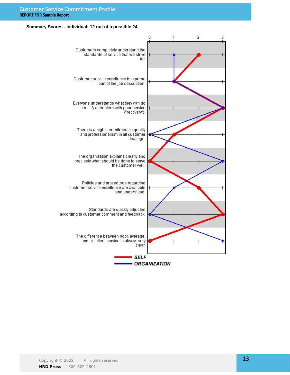#### Customer Service Commitment Profile **REPORT FOR Sample Report**

#### **Summary Scores - Individual: 12 out of a possible 24**

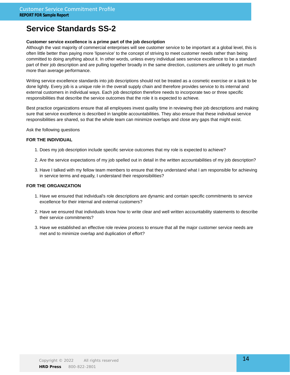# **Service Standards SS-2**

#### **Customer service excellence is a prime part of the job description**

Although the vast majority of commercial enterprises will see customer service to be important at a global level, this is often little better than paying more 'lipservice' to the concept of striving to meet customer needs rather than being committed to doing anything about it. In other words, unless every individual sees service excellence to be a standard part of their job description and are pulling together broadly in the same direction, customers are unlikely to get much more than average performance.

Writing service excellence standards into job descriptions should not be treated as a cosmetic exercise or a task to be done lightly. Every job is a unique role in the overall supply chain and therefore provides service to its internal and external customers in individual ways. Each job description therefore needs to incorporate two or three specific responsibilities that describe the service outcomes that the role it is expected to achieve.

Best practice organizations ensure that all employees invest quality time in reviewing their job descriptions and making sure that service excellence is described in tangible accountabilities. They also ensure that these individual service responsibilities are shared, so that the whole team can minimize overlaps and close any gaps that might exist.

Ask the following questions

#### **FOR THE INDIVIDUAL**

- 1. Does my job description include specific service outcomes that my role is expected to achieve?
- 2. Are the service expectations of my job spelled out in detail in the written accountabilities of my job description?
- 3. Have I talked with my fellow team members to ensure that they understand what I am responsible for achieving in service terms and equally, I understand their responsibilities?

- 1. Have we ensured that individual's role descriptions are dynamic and contain specific commitments to service excellence for their internal and external customers?
- 2. Have we ensured that individuals know how to write clear and well written accountability statements to describe their service commitments?
- 3. Have we established an effective role review process to ensure that all the major customer service needs are met and to minimize overlap and duplication of effort?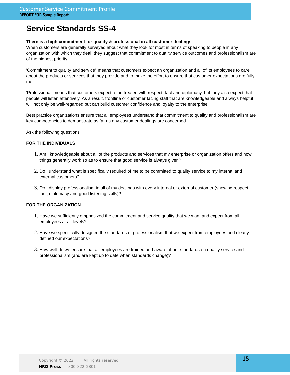# **Service Standards SS-4**

#### **There is a high commitment for quality & professional in all customer dealings**

When customers are generally surveyed about what they look for most in terms of speaking to people in any organization with which they deal, they suggest that commitment to quality service outcomes and professionalism are of the highest priority.

'Commitment to quality and service" means that customers expect an organization and all of its employees to care about the products or services that they provide and to make the effort to ensure that customer expectations are fully met.

'Professional' means that customers expect to be treated with respect, tact and diplomacy, but they also expect that people will listen attentively. As a result, frontline or customer facing staff that are knowledgeable and always helpful will not only be well-regarded but can build customer confidence and loyalty to the enterprise.

Best practice organizations ensure that all employees understand that commitment to quality and professionalism are key competencies to demonstrate as far as any customer dealings are concerned.

Ask the following questions

#### **FOR THE INDIVIDUALS**

- 1. Am I knowledgeable about all of the products and services that my enterprise or organization offers and how things generally work so as to ensure that good service is always given?
- 2. Do I understand what is specifically required of me to be committed to quality service to my internal and external customers?
- 3. Do I display professionalism in all of my dealings with every internal or external customer (showing respect, tact, diplomacy and good listening skills)?

- 1. Have we sufficiently emphasized the commitment and service quality that we want and expect from all employees at all levels?
- 2. Have we specifically designed the standards of professionalism that we expect from employees and clearly defined our expectations?
- 3. How well do we ensure that all employees are trained and aware of our standards on quality service and professionalism (and are kept up to date when standards change)?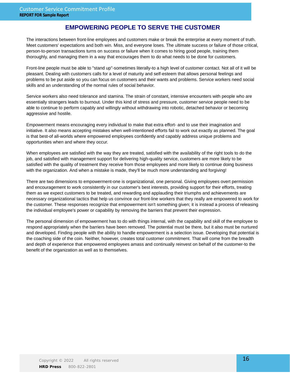### **EMPOWERING PEOPLE TO SERVE THE CUSTOMER**

The interactions between front-line employees and customers make or break the enterprise at every moment of truth. Meet customers' expectations and both win. Miss, and everyone loses. The ultimate success or failure of those critical, person-to-person transactions turns on success or failure when it comes to hiring good people, training them thoroughly, and managing them in a way that encourages them to do what needs to be done for customers.

Front-line people must be able to "stand up"-sometimes literally-to a high level of customer contact. Not all of it will be pleasant. Dealing with customers calls for a level of maturity and self-esteem that allows personal feelings and problems to be put aside so you can focus on customers and their wants and problems. Service workers need social skills and an understanding of the normal rules of social behavior.

Service workers also need tolerance and stamina. The strain of constant, intensive encounters with people who are essentially strangers leads to burnout. Under this kind of stress and pressure, customer service people need to be able to continue to perform capably and willingly without withdrawing into robotic, detached behavior or becoming aggressive and hostile.

Empowerment means encouraging every individual to make that extra effort- and to use their imagination and initiative. It also means accepting mistakes when well-intentioned efforts fail to work out exactly as planned. The goal is that best-of all-worlds where empowered employees confidently and capably address unique problems and opportunities when and where they occur.

When employees are satisfied with the way they are treated, satisfied with the availability of the right tools to do the job, and satisfied with management support for delivering high-quality service, customers are more likely to be satisfied with the quality of treatment they receive from those employees and more likely to continue doing business with the organization. And when a mistake is made, they'll be much more understanding and forgiving!

There are two dimensions to empowerment-one is organizational, one personal. Giving employees overt permission and encouragement to work consistently in our customer's best interests, providing support for their efforts, treating them as we expect customers to be treated, and rewarding and applauding their triumphs and achievements are necessary organizational tactics that help us convince our front-line workers that they really are empowered to work for the customer. These responses recognize that empowerment isn't something given; it is instead a process of releasing the individual employee's power or capability by removing the barriers that prevent their expression.

The personal dimension of empowerment has to do with things internal, with the capability and skill of the employee to respond appropriately when the barriers have been removed. The potential must be there, but it also must be nurtured and developed. Finding people with the ability to handle empowerment is a selection issue. Developing that potential is the coaching side of the coin. Neither, however, creates total customer commitment. That will come from the breadth and depth of experience that empowered employees amass and continually reinvest on behalf of the customer-to the benefit of the organization as well as to themselves.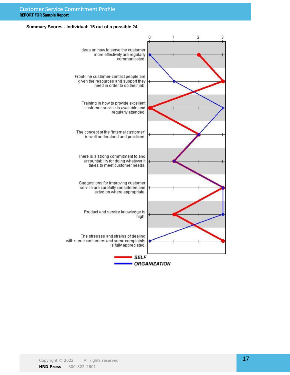#### Customer Service Commitment Profile **REPORT FOR Sample Report**

#### **Summary Scores - Individual: 15 out of a possible 24**

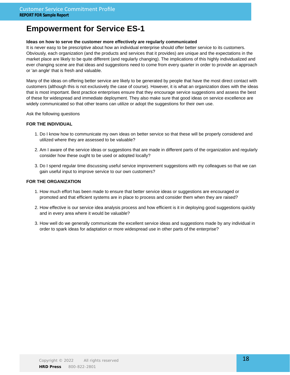# **Empowerment for Service ES-1**

#### **Ideas on how to serve the customer more effectively are regularly communicated**

It is never easy to be prescriptive about how an individual enterprise should offer better service to its customers. Obviously, each organization (and the products and services that it provides) are unique and the expectations in the market place are likely to be quite different (and regularly changing). The implications of this highly individualized and ever changing scene are that ideas and suggestions need to come from every quarter in order to provide an approach or 'an angle' that is fresh and valuable.

Many of the ideas on offering better service are likely to be generated by people that have the most direct contact with customers (although this is not exclusively the case of course). However, it is what an organization does with the ideas that is most important. Best practice enterprises ensure that they encourage service suggestions and assess the best of these for widespread and immediate deployment. They also make sure that good ideas on service excellence are widely communicated so that other teams can utilize or adopt the suggestions for their own use.

Ask the following questions

#### **FOR THE INDIVIDUAL**

- 1. Do I know how to communicate my own ideas on better service so that these will be properly considered and utilized where they are assessed to be valuable?
- 2. Am I aware of the service ideas or suggestions that are made in different parts of the organization and regularly consider how these ought to be used or adopted locally?
- Do I spend regular time discussing useful service improvement suggestions with my colleagues so that we can 3. gain useful input to improve service to our own customers?

- 1. How much effort has been made to ensure that better service ideas or suggestions are encouraged or promoted and that efficient systems are in place to process and consider them when they are raised?
- 2. How effective is our service idea analysis process and how efficient is it in deploying good suggestions quickly and in every area where it would be valuable?
- 3. How well do we generally communicate the excellent service ideas and suggestions made by any individual in order to spark ideas for adaptation or more widespread use in other parts of the enterprise?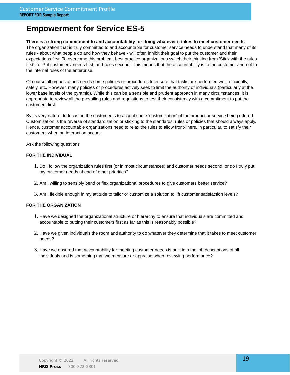# **Empowerment for Service ES-5**

#### **There is a strong commitment to and accountability for doing whatever it takes to meet customer needs**

The organization that is truly committed to and accountable for customer service needs to understand that many of its rules - about what people do and how they behave - will often inhibit their goal to put the customer and their expectations first. To overcome this problem, best practice organizations switch their thinking from 'Stick with the rules first', to 'Put customers' needs first, and rules second' - this means that the accountability is to the customer and not to the internal rules of the enterprise.

Of course all organizations needs some policies or procedures to ensure that tasks are performed well, efficiently, safely, etc. However, many policies or procedures actively seek to limit the authority of individuals (particularly at the lower base levels of the pyramid). While this can be a sensible and prudent approach in many circumstances, it is appropriate to review all the prevailing rules and regulations to test their consistency with a commitment to put the customers first.

By its very nature, to focus on the customer is to accept some 'customization' of the product or service being offered. Customization is the reverse of standardization or sticking to the standards, rules or policies that should always apply. Hence, customer accountable organizations need to relax the rules to allow front-liners, in particular, to satisfy their customers when an interaction occurs.

Ask the following questions

#### **FOR THE INDIVIDUAL**

- 1. Do I follow the organization rules first (or in most circumstances) and customer needs second, or do I truly put my customer needs ahead of other priorities?
- 2. Am I willing to sensibly bend or flex organizational procedures to give customers better service?
- 3. Am I flexible enough in my attitude to tailor or customize a solution to lift customer satisfaction levels?

- 1. Have we designed the organizational structure or hierarchy to ensure that individuals are committed and accountable to putting their customers first as far as this is reasonably possible?
- 2. Have we given individuals the room and authority to do whatever they determine that it takes to meet customer needs?
- 3. Have we ensured that accountability for meeting customer needs is built into the job descriptions of all individuals and is something that we measure or appraise when reviewing performance?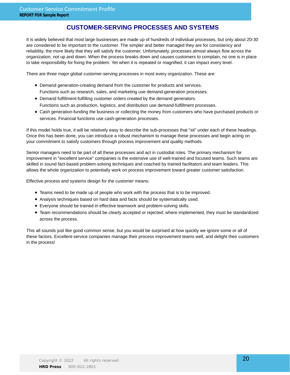### **CUSTOMER-SERVING PROCESSES AND SYSTEMS**

It is widely believed that most large businesses are made up of hundreds of individual processes, but only about 20-30 are considered to be important to the customer. The simpler and better managed they are for consistency and reliability, the more likely that they will satisfy the customer. Unfortunately, processes almost always flow across the organization, not up and down. When the process breaks down and causes customers to complain, no one is in place to take responsibility for fixing the problem. Yet when it is repeated or magnified, it can impact every level.

There are three major global customer-serving processes in most every organization. These are:

- Demand generation-creating demand from the customer for products and services. Functions such as research, sales, and marketing use demand-generation processes.
- Demand fulfillment-fulfilling customer orders created by the demand generators. Functions such as production, logistics, and distribution use demand-fulfillment processes.
- Cash generation-funding the business or collecting the money from customers who have purchased products or services. Financial functions use cash-generation processes.

If this model holds true, it will be relatively easy to describe the sub-processes that "sit" under each of these headings. Once this has been done, you can introduce a robust mechanism to manage these processes and begin acting on your commitment to satisfy customers through process improvement and quality methods.

Senior managers need to be part of all these processes and act in custodial roles. The primary mechanism for improvement in "excellent service" companies is the extensive use of well-trained and focused teams. Such teams are skilled in sound fact-based problem-solving techniques and coached by trained facilitators and team leaders. This allows the whole organization to potentially work on process improvement toward greater customer satisfaction.

Effective process and systems design for the customer means:

- Teams need to be made up of people who work with the process that is to be improved.
- Analysis techniques based on hard data and facts should be systematically used.
- Everyone should be trained in effective teamwork and problem-solving skills.
- Team recommendations should be clearly accepted or rejected; where implemented, they must be standardized across the process.

This all sounds just like good common sense, but you would be surprised at how quickly we ignore some or all of these factors. Excellent-service companies manage their process improvement teams well, and delight their customers in the process!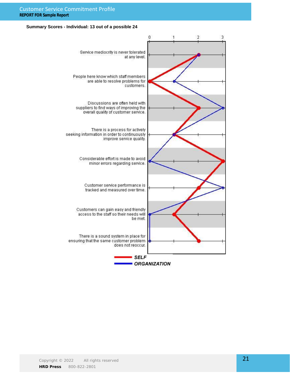#### Customer Service Commitment Profile **REPORT FOR Sample Report**

#### **Summary Scores - Individual: 13 out of a possible 24**

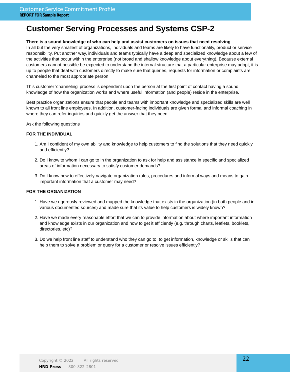#### **There is a sound knowledge of who can help and assist customers on issues that need resolving**

In all but the very smallest of organizations, individuals and teams are likely to have functionality, product or service responsibility. Put another way, individuals and teams typically have a deep and specialized knowledge about a few of the activities that occur within the enterprise (not broad and shallow knowledge about everything). Because external customers cannot possible be expected to understand the internal structure that a particular enterprise may adopt, it is up to people that deal with customers directly to make sure that queries, requests for information or complaints are channeled to the most appropriate person.

This customer 'channeling' process is dependent upon the person at the first point of contact having a sound knowledge of how the organization works and where useful information (and people) reside in the enterprise.

Best practice organizations ensure that people and teams with important knowledge and specialized skills are well known to all front line employees. In addition, customer-facing individuals are given formal and informal coaching in where they can refer inquiries and quickly get the answer that they need.

Ask the following questions

#### **FOR THE INDIVIDUAL**

- Am I confident of my own ability and knowledge to help customers to find the solutions that they need quickly 1. and efficiently?
- 2. Do I know to whom I can go to in the organization to ask for help and assistance in specific and specialized areas of information necessary to satisfy customer demands?
- 3. Do I know how to effectively navigate organization rules, procedures and informal ways and means to gain important information that a customer may need?

- 1. Have we rigorously reviewed and mapped the knowledge that exists in the organization (in both people and in various documented sources) and made sure that its value to help customers is widely known?
- 2. Have we made every reasonable effort that we can to provide information about where important information and knowledge exists in our organization and how to get it efficiently (e.g. through charts, leaflets, booklets, directories, etc)?
- 3. Do we help front line staff to understand who they can go to, to get information, knowledge or skills that can help them to solve a problem or query for a customer or resolve issues efficiently?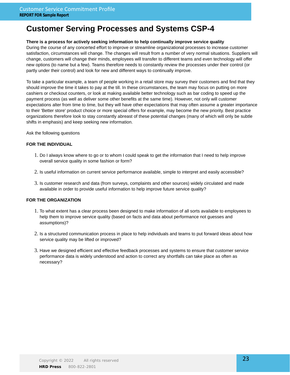#### **There is a process for actively seeking information to help continually improve service quality**

During the course of any concerted effort to improve or streamline organizational processes to increase customer satisfaction, circumstances will change. The changes will result from a number of very normal situations. Suppliers will change, customers will change their minds, employees will transfer to different teams and even technology will offer new options (to name but a few). Teams therefore needs to constantly review the processes under their control (or partly under their control) and look for new and different ways to continually improve.

To take a particular example, a team of people working in a retail store may survey their customers and find that they should improve the time it takes to pay at the till. In these circumstances, the team may focus on putting on more cashiers or checkout counters, or look at making available better technology such as bar coding to speed up the payment process (as well as deliver some other benefits at the same time). However, not only will customer expectations alter from time to time, but they will have other expectations that may often assume a greater importance to their 'Better store' product choice or more special offers for example, may become the new priority. Best practice organizations therefore look to stay constantly abreast of these potential changes (many of which will only be subtle shifts in emphasis) and keep seeking new information.

Ask the following questions

#### **FOR THE INDIVIDUAL**

- 1. Do I always know where to go or to whom I could speak to get the information that I need to help improve overall service quality in some fashion or form?
- 2. Is useful information on current service performance available, simple to interpret and easily accessible?
- 3. Is customer research and data (from surveys, complaints and other sources) widely circulated and made available in order to provide useful information to help improve future service quality?

- 1. To what extent has a clear process been designed to make information of all sorts available to employees to help them to improve service quality (based on facts and data about performance not guesses and assumptions)?
- 2. Is a structured communication process in place to help individuals and teams to put forward ideas about how service quality may be lifted or improved?
- 3. Have we designed efficient and effective feedback processes and systems to ensure that customer service performance data is widely understood and action to correct any shortfalls can take place as often as necessary?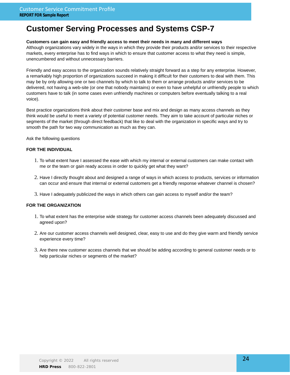#### **Customers can gain easy and friendly access to meet their needs in many and different ways**

Although organizations vary widely in the ways in which they provide their products and/or services to their respective markets, every enterprise has to find ways in which to ensure that customer access to what they need is simple, unencumbered and without unnecessary barriers.

Friendly and easy access to the organization sounds relatively straight forward as a step for any enterprise. However, a remarkably high proportion of organizations succeed in making it difficult for their customers to deal with them. This may be by only allowing one or two channels by which to talk to them or arrange products and/or services to be delivered, not having a web-site (or one that nobody maintains) or even to have unhelpful or unfriendly people to which customers have to talk (in some cases even unfriendly machines or computers before eventually talking to a real voice).

Best practice organizations think about their customer base and mix and design as many access channels as they think would be useful to meet a variety of potential customer needs. They aim to take account of particular niches or segments of the market (through direct feedback) that like to deal with the organization in specific ways and try to smooth the path for two way communication as much as they can.

Ask the following questions

#### **FOR THE INDIVIDUAL**

- 1. To what extent have I assessed the ease with which my internal or external customers can make contact with me or the team or gain ready access in order to quickly get what they want?
- 2. Have I directly thought about and designed a range of ways in which access to products, services or information can occur and ensure that internal or external customers get a friendly response whatever channel is chosen?
- 3. Have I adequately publicized the ways in which others can gain access to myself and/or the team?

- 1. To what extent has the enterprise wide strategy for customer access channels been adequately discussed and agreed upon?
- 2. Are our customer access channels well designed, clear, easy to use and do they give warm and friendly service experience every time?
- 3. Are there new customer access channels that we should be adding according to general customer needs or to help particular niches or segments of the market?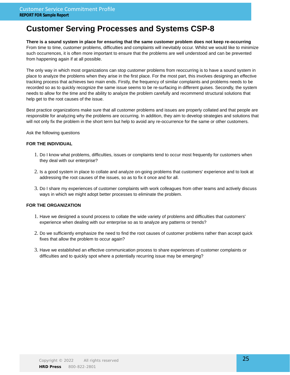**There is a sound system in place for ensuring that the same customer problem does not keep re-occurring** From time to time, customer problems, difficulties and complaints will inevitably occur. Whilst we would like to minimize such occurrences, it is often more important to ensure that the problems are well understood and can be prevented from happening again if at all possible.

The only way in which most organizations can stop customer problems from reoccurring is to have a sound system in place to analyze the problems when they arise in the first place. For the most part, this involves designing an effective tracking process that achieves two main ends. Firstly, the frequency of similar complaints and problems needs to be recorded so as to quickly recognize the same issue seems to be re-surfacing in different guises. Secondly, the system needs to allow for the time and the ability to analyze the problem carefully and recommend structural solutions that help get to the root causes of the issue.

Best practice organizations make sure that all customer problems and issues are properly collated and that people are responsible for analyzing why the problems are occurring. In addition, they aim to develop strategies and solutions that will not only fix the problem in the short term but help to avoid any re-occurrence for the same or other customers.

Ask the following questions

#### **FOR THE INDIVIDUAL**

- 1. Do I know what problems, difficulties, issues or complaints tend to occur most frequently for customers when they deal with our enterprise?
- 2. Is a good system in place to collate and analyze on-going problems that customers' experience and to look at addressing the root causes of the issues, so as to fix it once and for all.
- 3. Do I share my experiences of customer complaints with work colleagues from other teams and actively discuss ways in which we might adopt better processes to eliminate the problem.

- 1. Have we designed a sound process to collate the wide variety of problems and difficulties that customers' experience when dealing with our enterprise so as to analyze any patterns or trends?
- 2. Do we sufficiently emphasize the need to find the root causes of customer problems rather than accept quick fixes that allow the problem to occur again?
- 3. Have we established an effective communication process to share experiences of customer complaints or difficulties and to quickly spot where a potentially recurring issue may be emerging?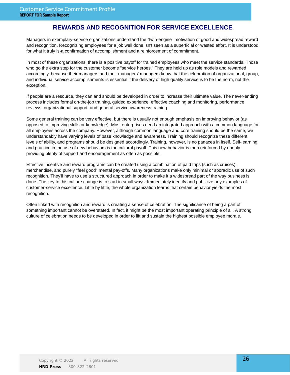### **REWARDS AND RECOGNITION FOR SERVICE EXCELLENCE**

Managers in exemplary-service organizations understand the "twin-engine" motivation of good and widespread reward and recognition. Recognizing employees for a job well done isn't seen as a superficial or wasted effort. It is understood for what it truly is-a confirmation of accomplishment and a reinforcement of commitment.

In most of these organizations, there is a positive payoff for trained employees who meet the service standards. Those who go the extra step for the customer become "service heroes." They are held up as role models and rewarded accordingly, because their managers and their managers' managers know that the celebration of organizational, group, and individual service accomplishments is essential if the delivery of high quality service is to be the norm, not the exception.

If people are a resource, they can and should be developed in order to increase their ultimate value. The never-ending process includes formal on-the-job training, guided experience, effective coaching and monitoring, performance reviews, organizational support, and general service awareness training.

Some general training can be very effective, but there is usually not enough emphasis on improving behavior (as opposed to improving skills or knowledge). Most enterprises need an integrated approach with a common language for all employees across the company. However, although common language and core training should be the same, we understandably have varying levels of base knowledge and awareness. Training should recognize these different levels of ability, and programs should be designed accordingly. Training, however, is no panacea in itself. Self-learning and practice in the use of new behaviors is the cultural payoff. This new behavior is then reinforced by openly providing plenty of support and encouragement as often as possible.

Effective incentive and reward programs can be created using a combination of paid trips (such as cruises), merchandise, and purely "feel good" mental pay-offs. Many organizations make only minimal or sporadic use of such recognition. They'll have to use a structured approach in order to make it a widespread part of the way business is done. The key to this culture change is to start in small ways: Immediately identify and publicize any examples of customer-service excellence. Little by little, the whole organization learns that certain behavior yields the most recognition.

Often linked with recognition and reward is creating a sense of celebration. The significance of being a part of something important cannot be overstated. In fact, it might be the most important operating principle of all. A strong culture of celebration needs to be developed in order to lift and sustain the highest possible employee morale.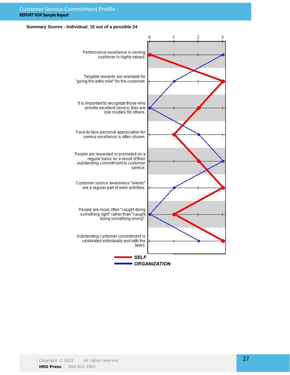#### **Summary Scores - Individual: 15 out of a possible 24**

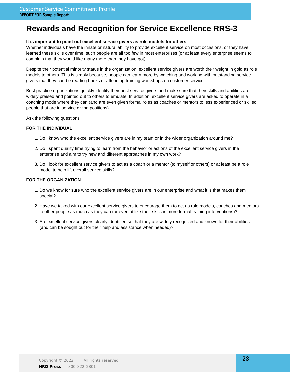# **Rewards and Recognition for Service Excellence RRS-3**

#### **It is important to point out excellent service givers as role models for others**

Whether individuals have the innate or natural ability to provide excellent service on most occasions, or they have learned these skills over time, such people are all too few in most enterprises (or at least every enterprise seems to complain that they would like many more than they have got).

Despite their potential minority status in the organization, excellent service givers are worth their weight in gold as role models to others. This is simply because, people can learn more by watching and working with outstanding service givers that they can be reading books or attending training workshops on customer service.

Best practice organizations quickly identify their best service givers and make sure that their skills and abilities are widely praised and pointed out to others to emulate. In addition, excellent service givers are asked to operate in a coaching mode where they can (and are even given formal roles as coaches or mentors to less experienced or skilled people that are in service giving positions).

Ask the following questions

#### **FOR THE INDIVIDUAL**

- 1. Do I know who the excellent service givers are in my team or in the wider organization around me?
- 2. Do I spent quality time trying to learn from the behavior or actions of the excellent service givers in the enterprise and aim to try new and different approaches in my own work?
- Do I look for excellent service givers to act as a coach or a mentor (to myself or others) or at least be a role 3. model to help lift overall service skills?

- 1. Do we know for sure who the excellent service givers are in our enterprise and what it is that makes them special?
- 2. Have we talked with our excellent service givers to encourage them to act as role models, coaches and mentors to other people as much as they can (or even utilize their skills in more formal training interventions)?
- Are excellent service givers clearly identified so that they are widely recognized and known for their abilities 3. (and can be sought out for their help and assistance when needed)?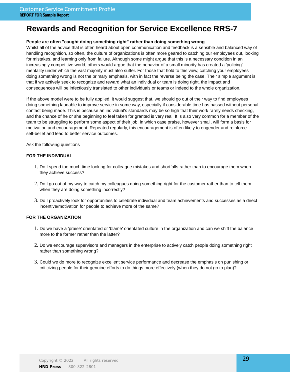# **Rewards and Recognition for Service Excellence RRS-7**

#### **People are often "caught doing something right" rather than doing something wrong**

Whilst all of the advice that is often heard about open communication and feedback is a sensible and balanced way of handling recognition, so often, the culture of organizations is often more geared to catching our employees out, looking for mistakes, and learning only from failure. Although some might argue that this is a necessary condition in an increasingly competitive world, others would argue that the behavior of a small minority has created a 'policing' mentality under which the vast majority must also suffer. For those that hold to this view, catching your employees doing something wrong is not the primary emphasis, with in fact the reverse being the case. Their simple argument is that if we actively seek to recognize and reward what an individual or team is doing right, the impact and consequences will be infectiously translated to other individuals or teams or indeed to the whole organization.

If the above model were to be fully applied, it would suggest that, we should go out of their way to find employees doing something laudable to improve service in some way, especially if considerable time has passed without personal contact being made. This is because an individual's standards may be so high that their work rarely needs checking, and the chance of he or she beginning to feel taken for granted is very real. It is also very common for a member of the team to be struggling to perform some aspect of their job, in which case praise, however small, will form a basis for motivation and encouragement. Repeated regularly, this encouragement is often likely to engender and reinforce self-belief and lead to better service outcomes.

Ask the following questions

#### **FOR THE INDIVIDUAL**

- 1. Do I spend too much time looking for colleague mistakes and shortfalls rather than to encourage them when they achieve success?
- 2. Do I go out of my way to catch my colleagues doing something right for the customer rather than to tell them when they are doing something incorrectly?
- 3. Do I proactively look for opportunities to celebrate individual and team achievements and successes as a direct incentive/motivation for people to achieve more of the same?

- 1. Do we have a 'praise' orientated or 'blame' orientated culture in the organization and can we shift the balance more to the former rather than the latter?
- 2. Do we encourage supervisors and managers in the enterprise to actively catch people doing something right rather than something wrong?
- 3. Could we do more to recognize excellent service performance and decrease the emphasis on punishing or criticizing people for their genuine efforts to do things more effectively (when they do not go to plan)?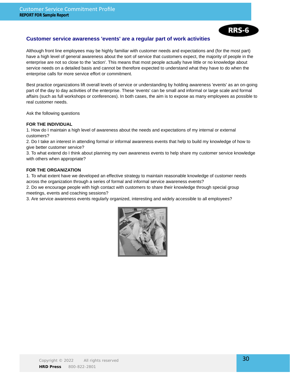### RRS-6

#### **Customer service awareness 'events' are a regular part of work activities**

Although front line employees may be highly familiar with customer needs and expectations and (for the most part) have a high level of general awareness about the sort of service that customers expect, the majority of people in the enterprise are not so close to the 'action'. This means that most people actually have little or no knowledge about service needs on a detailed basis and cannot be therefore expected to understand what they have to do when the enterprise calls for more service effort or commitment.

Best practice organizations lift overall levels of service or understanding by holding awareness 'events' as an on-going part of the day to day activities of the enterprise. These 'events' can be small and informal or large scale and formal affairs (such as full workshops or conferences). In both cases, the aim is to expose as many employees as possible to real customer needs.

Ask the following questions

#### **FOR THE INDIVIDUAL**

1. How do I maintain a high level of awareness about the needs and expectations of my internal or external customers?

2. Do I take an interest in attending formal or informal awareness events that help to build my knowledge of how to give better customer service?

3. To what extend do I think about planning my own awareness events to help share my customer service knowledge with others when appropriate?

#### **FOR THE ORGANIZATION**

1. To what extent have we developed an effective strategy to maintain reasonable knowledge of customer needs across the organization through a series of formal and informal service awareness events?

2. Do we encourage people with high contact with customers to share their knowledge through special group meetings, events and coaching sessions?

3. Are service awareness events regularly organized, interesting and widely accessible to all employees?

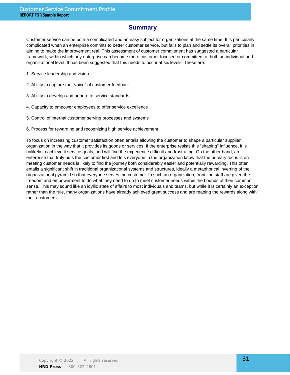### **Summary**

Customer service can be both a complicated and an easy subject for organizations at the same time. It is particularly complicated when an enterprise commits to better customer service, but fails to plan and settle its overall priorities in aiming to make the improvement real. This assessment of customer commitment has suggested a particular framework, within which any enterprise can become more customer focused or committed, at both an individual and organizational level. It has been suggested that this needs to occur at six levels. These are:

- 1. Service leadership and vision
- 2. Ability to capture the "voice" of customer feedback
- 3. Ability to develop and adhere to service standards
- 4. Capacity to empower employees to offer service excellence
- 5. Control of internal customer serving processes and systems
- 6. Process for rewarding and recognizing high service achievement

To focus on increasing customer satisfaction often entails allowing the customer to shape a particular supplier organization in the way that it provides its goods or services. If the enterprise resists this "shaping" influence, it is unlikely to achieve it service goals, and will find the experience difficult and frustrating. On the other hand, an enterprise that truly puts the customer first and lets everyone in the organization know that the primary focus is on meeting customer needs is likely to find the journey both considerably easier and potentially rewarding. This often entails a significant shift in traditional organizational systems and structures, ideally a metaphorical inverting of the organizational pyramid so that everyone serves the customer. In such an organization, front line staff are given the freedom and empowerment to do what they need to do to meet customer needs within the bounds of their common sense. This may sound like an idyllic state of affairs to most individuals and teams, but while it is certainly an exception rather than the rule, many organizations have already achieved great success and are reaping the rewards along with their customers.